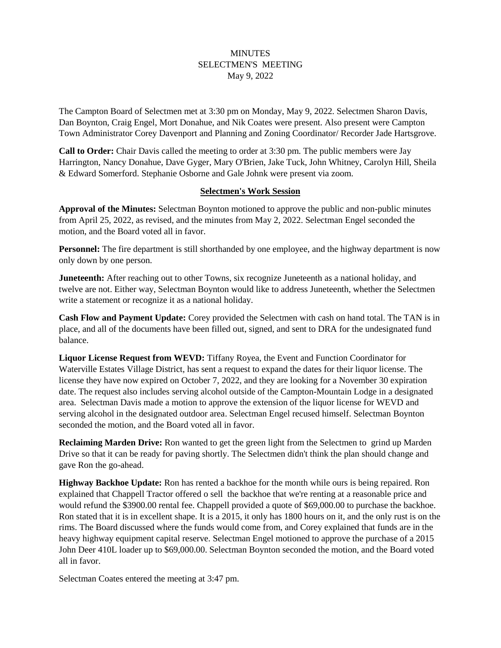### MINUTES SELECTMEN'S MEETING May 9, 2022

The Campton Board of Selectmen met at 3:30 pm on Monday, May 9, 2022. Selectmen Sharon Davis, Dan Boynton, Craig Engel, Mort Donahue, and Nik Coates were present. Also present were Campton Town Administrator Corey Davenport and Planning and Zoning Coordinator/ Recorder Jade Hartsgrove.

**Call to Order:** Chair Davis called the meeting to order at 3:30 pm. The public members were Jay Harrington, Nancy Donahue, Dave Gyger, Mary O'Brien, Jake Tuck, John Whitney, Carolyn Hill, Sheila & Edward Somerford. Stephanie Osborne and Gale Johnk were present via zoom.

#### **Selectmen's Work Session**

**Approval of the Minutes:** Selectman Boynton motioned to approve the public and non-public minutes from April 25, 2022, as revised, and the minutes from May 2, 2022. Selectman Engel seconded the motion, and the Board voted all in favor.

**Personnel:** The fire department is still shorthanded by one employee, and the highway department is now only down by one person.

**Juneteenth:** After reaching out to other Towns, six recognize Juneteenth as a national holiday, and twelve are not. Either way, Selectman Boynton would like to address Juneteenth, whether the Selectmen write a statement or recognize it as a national holiday.

**Cash Flow and Payment Update:** Corey provided the Selectmen with cash on hand total. The TAN is in place, and all of the documents have been filled out, signed, and sent to DRA for the undesignated fund balance.

**Liquor License Request from WEVD:** Tiffany Royea, the Event and Function Coordinator for Waterville Estates Village District, has sent a request to expand the dates for their liquor license. The license they have now expired on October 7, 2022, and they are looking for a November 30 expiration date. The request also includes serving alcohol outside of the Campton-Mountain Lodge in a designated area. Selectman Davis made a motion to approve the extension of the liquor license for WEVD and serving alcohol in the designated outdoor area. Selectman Engel recused himself. Selectman Boynton seconded the motion, and the Board voted all in favor.

**Reclaiming Marden Drive:** Ron wanted to get the green light from the Selectmen to grind up Marden Drive so that it can be ready for paving shortly. The Selectmen didn't think the plan should change and gave Ron the go-ahead.

**Highway Backhoe Update:** Ron has rented a backhoe for the month while ours is being repaired. Ron explained that Chappell Tractor offered o sell the backhoe that we're renting at a reasonable price and would refund the \$3900.00 rental fee. Chappell provided a quote of \$69,000.00 to purchase the backhoe. Ron stated that it is in excellent shape. It is a 2015, it only has 1800 hours on it, and the only rust is on the rims. The Board discussed where the funds would come from, and Corey explained that funds are in the heavy highway equipment capital reserve. Selectman Engel motioned to approve the purchase of a 2015 John Deer 410L loader up to \$69,000.00. Selectman Boynton seconded the motion, and the Board voted all in favor.

Selectman Coates entered the meeting at 3:47 pm.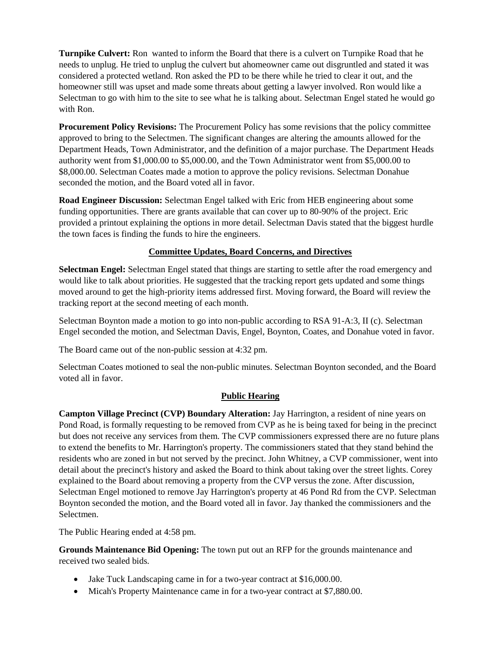**Turnpike Culvert:** Ron wanted to inform the Board that there is a culvert on Turnpike Road that he needs to unplug. He tried to unplug the culvert but ahomeowner came out disgruntled and stated it was considered a protected wetland. Ron asked the PD to be there while he tried to clear it out, and the homeowner still was upset and made some threats about getting a lawyer involved. Ron would like a Selectman to go with him to the site to see what he is talking about. Selectman Engel stated he would go with Ron.

**Procurement Policy Revisions:** The Procurement Policy has some revisions that the policy committee approved to bring to the Selectmen. The significant changes are altering the amounts allowed for the Department Heads, Town Administrator, and the definition of a major purchase. The Department Heads authority went from \$1,000.00 to \$5,000.00, and the Town Administrator went from \$5,000.00 to \$8,000.00. Selectman Coates made a motion to approve the policy revisions. Selectman Donahue seconded the motion, and the Board voted all in favor.

**Road Engineer Discussion:** Selectman Engel talked with Eric from HEB engineering about some funding opportunities. There are grants available that can cover up to 80-90% of the project. Eric provided a printout explaining the options in more detail. Selectman Davis stated that the biggest hurdle the town faces is finding the funds to hire the engineers.

# **Committee Updates, Board Concerns, and Directives**

**Selectman Engel:** Selectman Engel stated that things are starting to settle after the road emergency and would like to talk about priorities. He suggested that the tracking report gets updated and some things moved around to get the high-priority items addressed first. Moving forward, the Board will review the tracking report at the second meeting of each month.

Selectman Boynton made a motion to go into non-public according to RSA 91-A:3, II (c). Selectman Engel seconded the motion, and Selectman Davis, Engel, Boynton, Coates, and Donahue voted in favor.

The Board came out of the non-public session at 4:32 pm.

Selectman Coates motioned to seal the non-public minutes. Selectman Boynton seconded, and the Board voted all in favor.

# **Public Hearing**

**Campton Village Precinct (CVP) Boundary Alteration:** Jay Harrington, a resident of nine years on Pond Road, is formally requesting to be removed from CVP as he is being taxed for being in the precinct but does not receive any services from them. The CVP commissioners expressed there are no future plans to extend the benefits to Mr. Harrington's property. The commissioners stated that they stand behind the residents who are zoned in but not served by the precinct. John Whitney, a CVP commissioner, went into detail about the precinct's history and asked the Board to think about taking over the street lights. Corey explained to the Board about removing a property from the CVP versus the zone. After discussion, Selectman Engel motioned to remove Jay Harrington's property at 46 Pond Rd from the CVP. Selectman Boynton seconded the motion, and the Board voted all in favor. Jay thanked the commissioners and the Selectmen.

The Public Hearing ended at 4:58 pm.

**Grounds Maintenance Bid Opening:** The town put out an RFP for the grounds maintenance and received two sealed bids.

- Jake Tuck Landscaping came in for a two-year contract at \$16,000.00.
- Micah's Property Maintenance came in for a two-year contract at \$7,880.00.